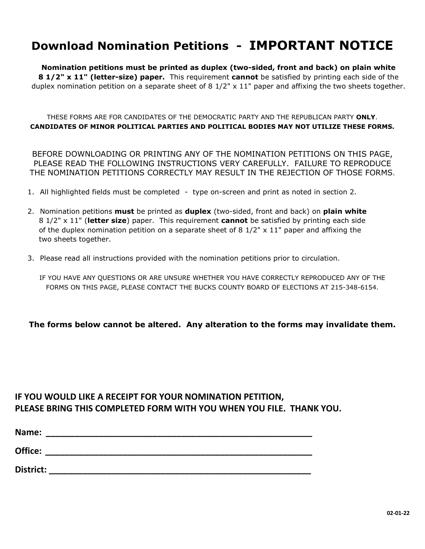### **Download Nomination Petitions - IMPORTANT NOTICE**

**Nomination petitions must be printed as duplex (two-sided, front and back) on plain white 8 1/2" x 11" (letter-size) paper.** This requirement **cannot** be satisfied by printing each side of the duplex nomination petition on a separate sheet of 8  $1/2$ " x  $11$ " paper and affixing the two sheets together.

THESE FORMS ARE FOR CANDIDATES OF THE DEMOCRATIC PARTY AND THE REPUBLICAN PARTY **ONLY**. **CANDIDATES OF MINOR POLITICAL PARTIES AND POLITICAL BODIES MAY NOT UTILIZE THESE FORMS.**

BEFORE DOWNLOADING OR PRINTING ANY OF THE NOMINATION PETITIONS ON THIS PAGE, PLEASE READ THE FOLLOWING INSTRUCTIONS VERY CAREFULLY. FAILURE TO REPRODUCE THE NOMINATION PETITIONS CORRECTLY MAY RESULT IN THE REJECTION OF THOSE FORMS.

- 1. All highlighted fields must be completed type on-screen and print as noted in section 2.
- 2. Nomination petitions **must** be printed as **duplex** (two-sided, front and back) on **plain white** 8 1/2" x 11" (**letter size**) paper. This requirement **cannot** be satisfied by printing each side of the duplex nomination petition on a separate sheet of 8  $1/2" \times 11"$  paper and affixing the two sheets together.
- 3. Please read all instructions provided with the nomination petitions prior to circulation.

IF YOU HAVE ANY QUESTIONS OR ARE UNSURE WHETHER YOU HAVE CORRECTLY REPRODUCED ANY OF THE FORMS ON THIS PAGE, PLEASE CONTACT THE BUCKS COUNTY BOARD OF ELECTIONS AT 215-348-6154.

**The forms below cannot be altered. Any alteration to the forms may invalidate them.**

### **IF YOU WOULD LIKE A RECEIPT FOR YOUR NOMINATION PETITION, PLEASE BRING THIS COMPLETED FORM WITH YOU WHEN YOU FILE. THANK YOU.**

| Name:   |  |  |
|---------|--|--|
| Office: |  |  |

**District: \_\_\_\_\_\_\_\_\_\_\_\_\_\_\_\_\_\_\_\_\_\_\_\_\_\_\_\_\_\_\_\_\_\_\_\_\_\_\_\_\_\_\_\_\_\_\_\_\_\_\_\_\_\_**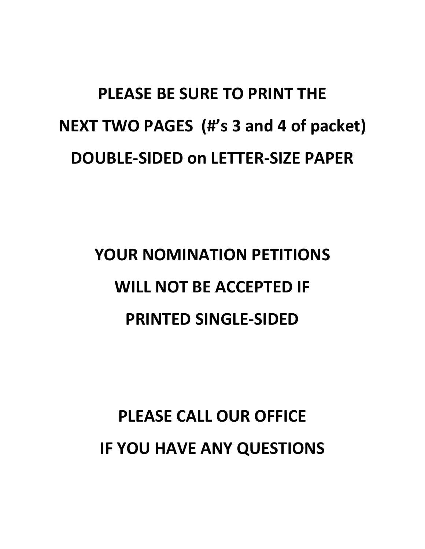# **PLEASE BE SURE TO PRINT THE NEXT TWO PAGES (#'s 3 and 4 of packet) DOUBLE-SIDED on LETTER-SIZE PAPER**

# **YOUR NOMINATION PETITIONS WILL NOT BE ACCEPTED IF PRINTED SINGLE-SIDED**

## **PLEASE CALL OUR OFFICE IF YOU HAVE ANY QUESTIONS**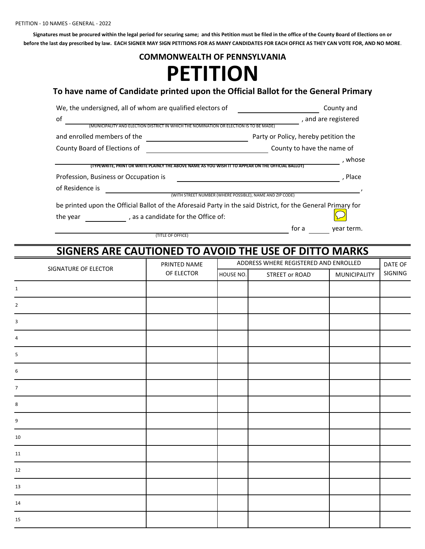**Signatures must be procured within the legal period for securing same; and this Petition must be filed in the office of the County Board of Elections on or before the last day prescribed by law. EACH SIGNER MAY SIGN PETITIONS FOR AS MANY CANDIDATES FOR EACH OFFICE AS THEY CAN VOTE FOR, AND NO MORE**.

## **PETITION COMMONWEALTH OF PENNSYLVANIA**

#### **To have name of Candidate printed upon the Official Ballot for the General Primary**

| We, the undersigned, all of whom are qualified electors of                                                   | County and                                               |
|--------------------------------------------------------------------------------------------------------------|----------------------------------------------------------|
| of                                                                                                           | , and are registered                                     |
| ELECTION DISTRICT IN WHICH THE NOMINATION OR ELECTION                                                        | IS TO BE MADE)                                           |
| and enrolled members of the                                                                                  | Party or Policy, hereby petition the                     |
| County Board of Elections of                                                                                 | County to have the name of                               |
|                                                                                                              | whose                                                    |
| (TYPEWRITE, PRINT OR WRITE PLAINLY THE ABOVE NAME AS YOU WISH IT TO APPEAR ON THE OFFICIAL BALLOT!           |                                                          |
| Profession, Business or Occupation is                                                                        | . Place                                                  |
| of Residence is                                                                                              |                                                          |
|                                                                                                              | (WITH STREET NUMBER (WHERE POSSIBLE), NAME AND ZIP CODE) |
| be printed upon the Official Ballot of the Aforesaid Party in the said District, for the General Primary for |                                                          |
| . as a candidate for the Office of:<br>the year                                                              |                                                          |
|                                                                                                              | for a<br>year term.                                      |

**SIGNERS ARE CAUTIONED TO AVOID THE USE OF DITTO MARKS**

(TITLE OF OFFICE)

| SIGNATURE OF ELECTOR | PRINTED NAME<br>OF ELECTOR | ADDRESS WHERE REGISTERED AND ENROLLED |                |              |         |
|----------------------|----------------------------|---------------------------------------|----------------|--------------|---------|
|                      |                            | HOUSE NO.                             | STREET or ROAD | MUNICIPALITY | SIGNING |
| $\mathbf{1}$         |                            |                                       |                |              |         |
| $\overline{2}$       |                            |                                       |                |              |         |
| 3                    |                            |                                       |                |              |         |
| 4                    |                            |                                       |                |              |         |
| 5                    |                            |                                       |                |              |         |
| 6                    |                            |                                       |                |              |         |
| $\overline{7}$       |                            |                                       |                |              |         |
| 8                    |                            |                                       |                |              |         |
| 9                    |                            |                                       |                |              |         |
| 10                   |                            |                                       |                |              |         |
| 11                   |                            |                                       |                |              |         |
| 12                   |                            |                                       |                |              |         |
| 13                   |                            |                                       |                |              |         |
| 14                   |                            |                                       |                |              |         |
| 15                   |                            |                                       |                |              |         |